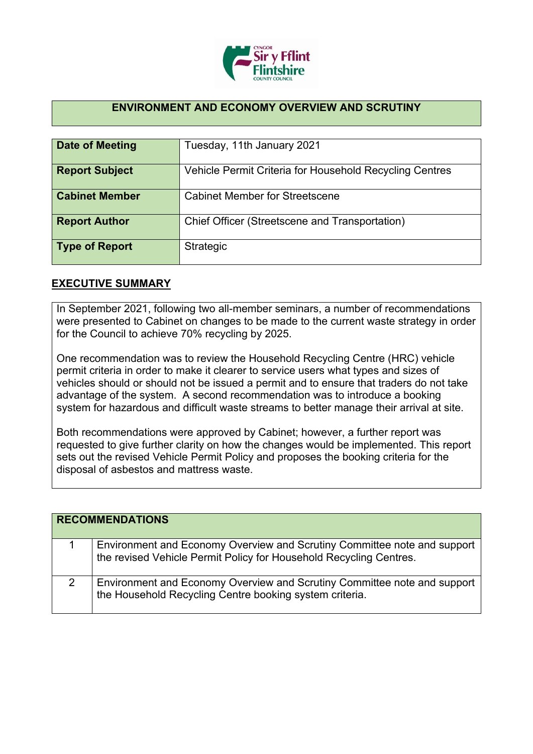

## **ENVIRONMENT AND ECONOMY OVERVIEW AND SCRUTINY**

| <b>Date of Meeting</b> | Tuesday, 11th January 2021                              |
|------------------------|---------------------------------------------------------|
| <b>Report Subject</b>  | Vehicle Permit Criteria for Household Recycling Centres |
| <b>Cabinet Member</b>  | <b>Cabinet Member for Streetscene</b>                   |
| <b>Report Author</b>   | Chief Officer (Streetscene and Transportation)          |
| <b>Type of Report</b>  | Strategic                                               |

## **EXECUTIVE SUMMARY**

In September 2021, following two all-member seminars, a number of recommendations were presented to Cabinet on changes to be made to the current waste strategy in order for the Council to achieve 70% recycling by 2025.

One recommendation was to review the Household Recycling Centre (HRC) vehicle permit criteria in order to make it clearer to service users what types and sizes of vehicles should or should not be issued a permit and to ensure that traders do not take advantage of the system. A second recommendation was to introduce a booking system for hazardous and difficult waste streams to better manage their arrival at site.

Both recommendations were approved by Cabinet; however, a further report was requested to give further clarity on how the changes would be implemented. This report sets out the revised Vehicle Permit Policy and proposes the booking criteria for the disposal of asbestos and mattress waste.

| <b>RECOMMENDATIONS</b> |                                                                                                                                                |
|------------------------|------------------------------------------------------------------------------------------------------------------------------------------------|
|                        | Environment and Economy Overview and Scrutiny Committee note and support<br>the revised Vehicle Permit Policy for Household Recycling Centres. |
| 2                      | Environment and Economy Overview and Scrutiny Committee note and support<br>the Household Recycling Centre booking system criteria.            |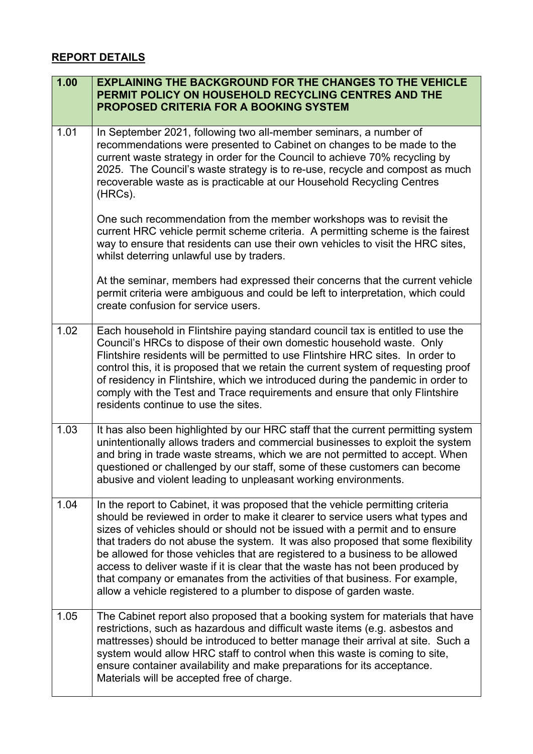## **REPORT DETAILS**

| 1.00 | <b>EXPLAINING THE BACKGROUND FOR THE CHANGES TO THE VEHICLE</b><br>PERMIT POLICY ON HOUSEHOLD RECYCLING CENTRES AND THE<br><b>PROPOSED CRITERIA FOR A BOOKING SYSTEM</b>                                                                                                                                                                                                                                                                                                                                                                                                                                                                                      |
|------|---------------------------------------------------------------------------------------------------------------------------------------------------------------------------------------------------------------------------------------------------------------------------------------------------------------------------------------------------------------------------------------------------------------------------------------------------------------------------------------------------------------------------------------------------------------------------------------------------------------------------------------------------------------|
| 1.01 | In September 2021, following two all-member seminars, a number of<br>recommendations were presented to Cabinet on changes to be made to the<br>current waste strategy in order for the Council to achieve 70% recycling by<br>2025. The Council's waste strategy is to re-use, recycle and compost as much<br>recoverable waste as is practicable at our Household Recycling Centres<br>(HRCs).                                                                                                                                                                                                                                                               |
|      | One such recommendation from the member workshops was to revisit the<br>current HRC vehicle permit scheme criteria. A permitting scheme is the fairest<br>way to ensure that residents can use their own vehicles to visit the HRC sites,<br>whilst deterring unlawful use by traders.                                                                                                                                                                                                                                                                                                                                                                        |
|      | At the seminar, members had expressed their concerns that the current vehicle<br>permit criteria were ambiguous and could be left to interpretation, which could<br>create confusion for service users.                                                                                                                                                                                                                                                                                                                                                                                                                                                       |
| 1.02 | Each household in Flintshire paying standard council tax is entitled to use the<br>Council's HRCs to dispose of their own domestic household waste. Only<br>Flintshire residents will be permitted to use Flintshire HRC sites. In order to<br>control this, it is proposed that we retain the current system of requesting proof<br>of residency in Flintshire, which we introduced during the pandemic in order to<br>comply with the Test and Trace requirements and ensure that only Flintshire<br>residents continue to use the sites.                                                                                                                   |
| 1.03 | It has also been highlighted by our HRC staff that the current permitting system<br>unintentionally allows traders and commercial businesses to exploit the system<br>and bring in trade waste streams, which we are not permitted to accept. When<br>questioned or challenged by our staff, some of these customers can become<br>abusive and violent leading to unpleasant working environments.                                                                                                                                                                                                                                                            |
| 1.04 | In the report to Cabinet, it was proposed that the vehicle permitting criteria<br>should be reviewed in order to make it clearer to service users what types and<br>sizes of vehicles should or should not be issued with a permit and to ensure<br>that traders do not abuse the system. It was also proposed that some flexibility<br>be allowed for those vehicles that are registered to a business to be allowed<br>access to deliver waste if it is clear that the waste has not been produced by<br>that company or emanates from the activities of that business. For example,<br>allow a vehicle registered to a plumber to dispose of garden waste. |
| 1.05 | The Cabinet report also proposed that a booking system for materials that have<br>restrictions, such as hazardous and difficult waste items (e.g. asbestos and<br>mattresses) should be introduced to better manage their arrival at site. Such a<br>system would allow HRC staff to control when this waste is coming to site,<br>ensure container availability and make preparations for its acceptance.<br>Materials will be accepted free of charge.                                                                                                                                                                                                      |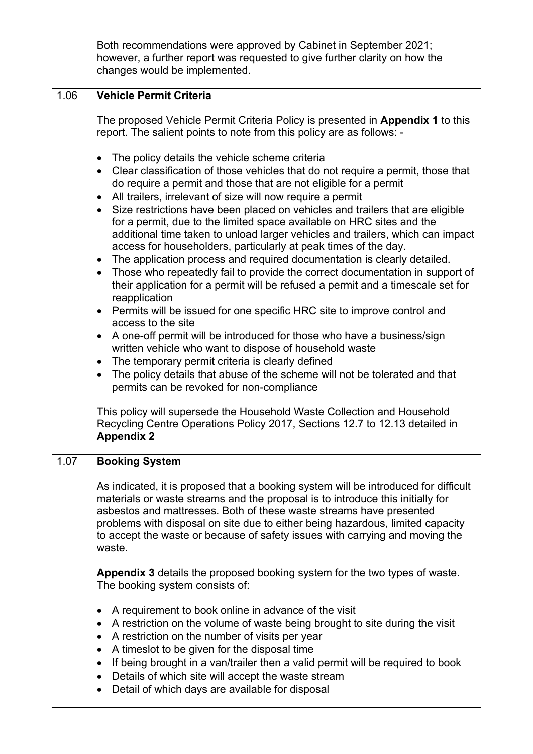|      | Both recommendations were approved by Cabinet in September 2021;<br>however, a further report was requested to give further clarity on how the<br>changes would be implemented.                                                                                                                                                                                                                                                                                                                                                                                                                                                                                                                                                                                                                                                                                                                                                                                                                                                                                                                                                                                                                                                                                                                                                                                                                                                                                                    |
|------|------------------------------------------------------------------------------------------------------------------------------------------------------------------------------------------------------------------------------------------------------------------------------------------------------------------------------------------------------------------------------------------------------------------------------------------------------------------------------------------------------------------------------------------------------------------------------------------------------------------------------------------------------------------------------------------------------------------------------------------------------------------------------------------------------------------------------------------------------------------------------------------------------------------------------------------------------------------------------------------------------------------------------------------------------------------------------------------------------------------------------------------------------------------------------------------------------------------------------------------------------------------------------------------------------------------------------------------------------------------------------------------------------------------------------------------------------------------------------------|
|      |                                                                                                                                                                                                                                                                                                                                                                                                                                                                                                                                                                                                                                                                                                                                                                                                                                                                                                                                                                                                                                                                                                                                                                                                                                                                                                                                                                                                                                                                                    |
| 1.06 | <b>Vehicle Permit Criteria</b>                                                                                                                                                                                                                                                                                                                                                                                                                                                                                                                                                                                                                                                                                                                                                                                                                                                                                                                                                                                                                                                                                                                                                                                                                                                                                                                                                                                                                                                     |
|      | The proposed Vehicle Permit Criteria Policy is presented in Appendix 1 to this<br>report. The salient points to note from this policy are as follows: -                                                                                                                                                                                                                                                                                                                                                                                                                                                                                                                                                                                                                                                                                                                                                                                                                                                                                                                                                                                                                                                                                                                                                                                                                                                                                                                            |
|      | The policy details the vehicle scheme criteria<br>$\bullet$<br>Clear classification of those vehicles that do not require a permit, those that<br>$\bullet$<br>do require a permit and those that are not eligible for a permit<br>All trailers, irrelevant of size will now require a permit<br>$\bullet$<br>Size restrictions have been placed on vehicles and trailers that are eligible<br>$\bullet$<br>for a permit, due to the limited space available on HRC sites and the<br>additional time taken to unload larger vehicles and trailers, which can impact<br>access for householders, particularly at peak times of the day.<br>The application process and required documentation is clearly detailed.<br>$\bullet$<br>Those who repeatedly fail to provide the correct documentation in support of<br>$\bullet$<br>their application for a permit will be refused a permit and a timescale set for<br>reapplication<br>Permits will be issued for one specific HRC site to improve control and<br>$\bullet$<br>access to the site<br>A one-off permit will be introduced for those who have a business/sign<br>$\bullet$<br>written vehicle who want to dispose of household waste<br>The temporary permit criteria is clearly defined<br>$\bullet$<br>The policy details that abuse of the scheme will not be tolerated and that<br>$\bullet$<br>permits can be revoked for non-compliance<br>This policy will supersede the Household Waste Collection and Household |
|      | Recycling Centre Operations Policy 2017, Sections 12.7 to 12.13 detailed in<br><b>Appendix 2</b>                                                                                                                                                                                                                                                                                                                                                                                                                                                                                                                                                                                                                                                                                                                                                                                                                                                                                                                                                                                                                                                                                                                                                                                                                                                                                                                                                                                   |
| 1.07 | <b>Booking System</b>                                                                                                                                                                                                                                                                                                                                                                                                                                                                                                                                                                                                                                                                                                                                                                                                                                                                                                                                                                                                                                                                                                                                                                                                                                                                                                                                                                                                                                                              |
|      | As indicated, it is proposed that a booking system will be introduced for difficult<br>materials or waste streams and the proposal is to introduce this initially for<br>asbestos and mattresses. Both of these waste streams have presented<br>problems with disposal on site due to either being hazardous, limited capacity<br>to accept the waste or because of safety issues with carrying and moving the<br>waste.                                                                                                                                                                                                                                                                                                                                                                                                                                                                                                                                                                                                                                                                                                                                                                                                                                                                                                                                                                                                                                                           |
|      | Appendix 3 details the proposed booking system for the two types of waste.<br>The booking system consists of:                                                                                                                                                                                                                                                                                                                                                                                                                                                                                                                                                                                                                                                                                                                                                                                                                                                                                                                                                                                                                                                                                                                                                                                                                                                                                                                                                                      |
|      | A requirement to book online in advance of the visit<br>$\bullet$<br>A restriction on the volume of waste being brought to site during the visit<br>$\bullet$<br>A restriction on the number of visits per year<br>٠<br>A timeslot to be given for the disposal time<br>$\bullet$<br>If being brought in a van/trailer then a valid permit will be required to book<br>$\bullet$<br>Details of which site will accept the waste stream<br>$\bullet$<br>Detail of which days are available for disposal<br>$\bullet$                                                                                                                                                                                                                                                                                                                                                                                                                                                                                                                                                                                                                                                                                                                                                                                                                                                                                                                                                                |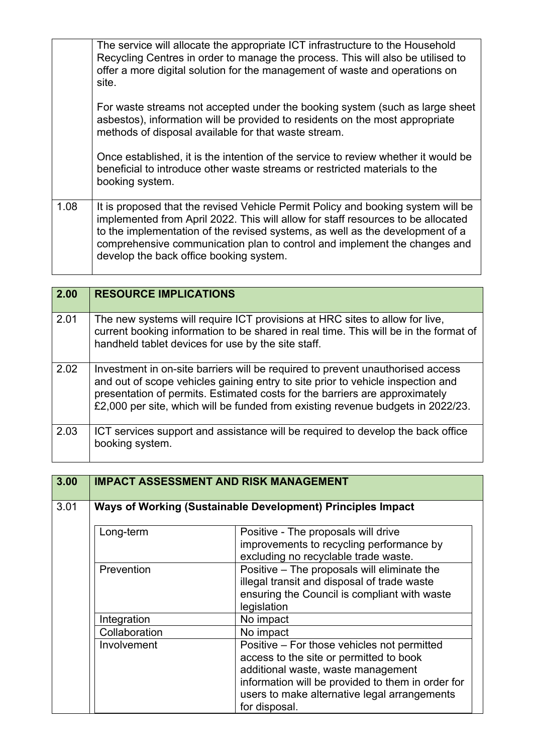|      | The service will allocate the appropriate ICT infrastructure to the Household<br>Recycling Centres in order to manage the process. This will also be utilised to<br>offer a more digital solution for the management of waste and operations on<br>site.                                                                                                                      |
|------|-------------------------------------------------------------------------------------------------------------------------------------------------------------------------------------------------------------------------------------------------------------------------------------------------------------------------------------------------------------------------------|
|      | For waste streams not accepted under the booking system (such as large sheet<br>asbestos), information will be provided to residents on the most appropriate<br>methods of disposal available for that waste stream.                                                                                                                                                          |
|      | Once established, it is the intention of the service to review whether it would be<br>beneficial to introduce other waste streams or restricted materials to the<br>booking system.                                                                                                                                                                                           |
| 1.08 | It is proposed that the revised Vehicle Permit Policy and booking system will be<br>implemented from April 2022. This will allow for staff resources to be allocated<br>to the implementation of the revised systems, as well as the development of a<br>comprehensive communication plan to control and implement the changes and<br>develop the back office booking system. |

| 2.00 | <b>RESOURCE IMPLICATIONS</b>                                                                                                                                                                                                                                                                                                        |
|------|-------------------------------------------------------------------------------------------------------------------------------------------------------------------------------------------------------------------------------------------------------------------------------------------------------------------------------------|
| 2.01 | The new systems will require ICT provisions at HRC sites to allow for live,<br>current booking information to be shared in real time. This will be in the format of<br>handheld tablet devices for use by the site staff.                                                                                                           |
| 2.02 | Investment in on-site barriers will be required to prevent unauthorised access<br>and out of scope vehicles gaining entry to site prior to vehicle inspection and<br>presentation of permits. Estimated costs for the barriers are approximately<br>£2,000 per site, which will be funded from existing revenue budgets in 2022/23. |
| 2.03 | ICT services support and assistance will be required to develop the back office<br>booking system.                                                                                                                                                                                                                                  |

and the control of the control of the control of the control of the control of the control of the control of the

 $\overline{a}$ 

| 3.00 | <b>IMPACT ASSESSMENT AND RISK MANAGEMENT</b>                |                                                                                                                                                                                                                                                    |
|------|-------------------------------------------------------------|----------------------------------------------------------------------------------------------------------------------------------------------------------------------------------------------------------------------------------------------------|
| 3.01 | Ways of Working (Sustainable Development) Principles Impact |                                                                                                                                                                                                                                                    |
|      | Long-term                                                   | Positive - The proposals will drive<br>improvements to recycling performance by<br>excluding no recyclable trade waste.                                                                                                                            |
|      | Prevention                                                  | Positive - The proposals will eliminate the<br>illegal transit and disposal of trade waste<br>ensuring the Council is compliant with waste<br>legislation                                                                                          |
|      | Integration                                                 | No impact                                                                                                                                                                                                                                          |
|      | Collaboration                                               | No impact                                                                                                                                                                                                                                          |
|      | Involvement                                                 | Positive – For those vehicles not permitted<br>access to the site or permitted to book<br>additional waste, waste management<br>information will be provided to them in order for<br>users to make alternative legal arrangements<br>for disposal. |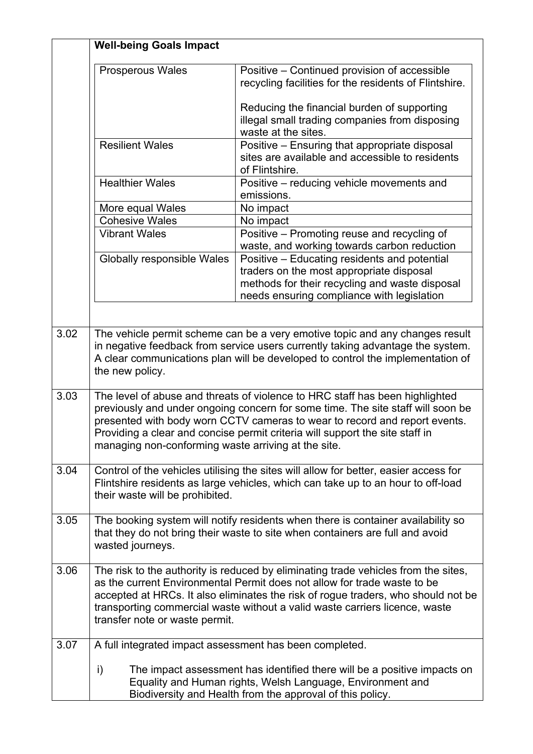|      | <b>Well-being Goals Impact</b>                          |                                                                                                                                                                                                                                                                                                                                    |
|------|---------------------------------------------------------|------------------------------------------------------------------------------------------------------------------------------------------------------------------------------------------------------------------------------------------------------------------------------------------------------------------------------------|
|      | <b>Prosperous Wales</b>                                 | Positive - Continued provision of accessible<br>recycling facilities for the residents of Flintshire.                                                                                                                                                                                                                              |
|      |                                                         | Reducing the financial burden of supporting<br>illegal small trading companies from disposing<br>waste at the sites.                                                                                                                                                                                                               |
|      | <b>Resilient Wales</b>                                  | Positive - Ensuring that appropriate disposal<br>sites are available and accessible to residents<br>of Flintshire.                                                                                                                                                                                                                 |
|      | <b>Healthier Wales</b>                                  | Positive – reducing vehicle movements and<br>emissions.                                                                                                                                                                                                                                                                            |
|      | More equal Wales                                        | No impact                                                                                                                                                                                                                                                                                                                          |
|      | <b>Cohesive Wales</b>                                   | No impact                                                                                                                                                                                                                                                                                                                          |
|      | <b>Vibrant Wales</b>                                    | Positive - Promoting reuse and recycling of<br>waste, and working towards carbon reduction                                                                                                                                                                                                                                         |
|      | Globally responsible Wales                              | Positive – Educating residents and potential<br>traders on the most appropriate disposal<br>methods for their recycling and waste disposal<br>needs ensuring compliance with legislation                                                                                                                                           |
| 3.02 | the new policy.                                         | The vehicle permit scheme can be a very emotive topic and any changes result<br>in negative feedback from service users currently taking advantage the system.<br>A clear communications plan will be developed to control the implementation of                                                                                   |
| 3.03 | managing non-conforming waste arriving at the site.     | The level of abuse and threats of violence to HRC staff has been highlighted<br>previously and under ongoing concern for some time. The site staff will soon be<br>presented with body worn CCTV cameras to wear to record and report events.<br>Providing a clear and concise permit criteria will support the site staff in      |
| 3.04 | their waste will be prohibited.                         | Control of the vehicles utilising the sites will allow for better, easier access for<br>Flintshire residents as large vehicles, which can take up to an hour to off-load                                                                                                                                                           |
| 3.05 | wasted journeys.                                        | The booking system will notify residents when there is container availability so<br>that they do not bring their waste to site when containers are full and avoid                                                                                                                                                                  |
| 3.06 | transfer note or waste permit.                          | The risk to the authority is reduced by eliminating trade vehicles from the sites,<br>as the current Environmental Permit does not allow for trade waste to be<br>accepted at HRCs. It also eliminates the risk of rogue traders, who should not be<br>transporting commercial waste without a valid waste carriers licence, waste |
| 3.07 | A full integrated impact assessment has been completed. |                                                                                                                                                                                                                                                                                                                                    |
|      | i)                                                      | The impact assessment has identified there will be a positive impacts on<br>Equality and Human rights, Welsh Language, Environment and<br>Biodiversity and Health from the approval of this policy.                                                                                                                                |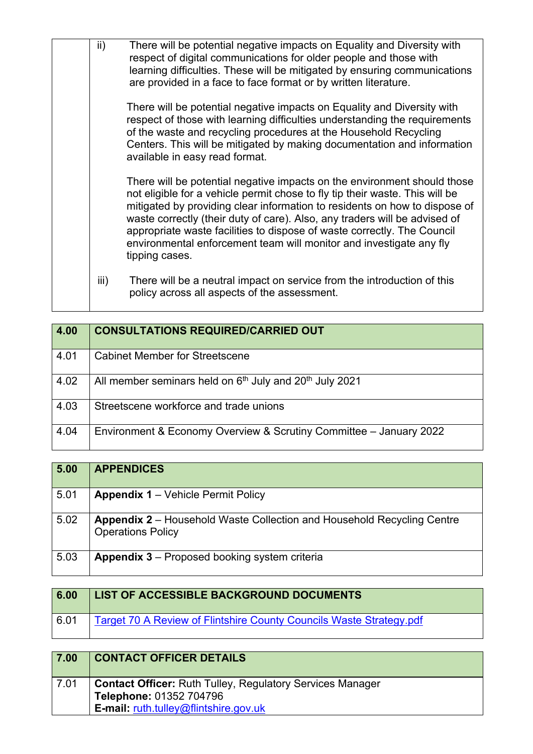| ii)  | There will be potential negative impacts on Equality and Diversity with<br>respect of digital communications for older people and those with<br>learning difficulties. These will be mitigated by ensuring communications<br>are provided in a face to face format or by written literature.                                                                                                                                                                                             |
|------|------------------------------------------------------------------------------------------------------------------------------------------------------------------------------------------------------------------------------------------------------------------------------------------------------------------------------------------------------------------------------------------------------------------------------------------------------------------------------------------|
|      | There will be potential negative impacts on Equality and Diversity with<br>respect of those with learning difficulties understanding the requirements<br>of the waste and recycling procedures at the Household Recycling<br>Centers. This will be mitigated by making documentation and information<br>available in easy read format.                                                                                                                                                   |
|      | There will be potential negative impacts on the environment should those<br>not eligible for a vehicle permit chose to fly tip their waste. This will be<br>mitigated by providing clear information to residents on how to dispose of<br>waste correctly (their duty of care). Also, any traders will be advised of<br>appropriate waste facilities to dispose of waste correctly. The Council<br>environmental enforcement team will monitor and investigate any fly<br>tipping cases. |
| iii) | There will be a neutral impact on service from the introduction of this<br>policy across all aspects of the assessment.                                                                                                                                                                                                                                                                                                                                                                  |

| 4.00 | <b>CONSULTATIONS REQUIRED/CARRIED OUT</b>                                       |
|------|---------------------------------------------------------------------------------|
| 4.01 | <b>Cabinet Member for Streetscene</b>                                           |
| 4.02 | All member seminars held on 6 <sup>th</sup> July and 20 <sup>th</sup> July 2021 |
| 4.03 | Streetscene workforce and trade unions                                          |
| 4.04 | Environment & Economy Overview & Scrutiny Committee - January 2022              |

| 5.00 | <b>APPENDICES</b>                                                                                         |
|------|-----------------------------------------------------------------------------------------------------------|
| 5.01 | <b>Appendix 1 – Vehicle Permit Policy</b>                                                                 |
| 5.02 | <b>Appendix 2</b> – Household Waste Collection and Household Recycling Centre<br><b>Operations Policy</b> |
| 5.03 | <b>Appendix 3</b> – Proposed booking system criteria                                                      |

| 6.00 | <b>LIST OF ACCESSIBLE BACKGROUND DOCUMENTS</b>                      |
|------|---------------------------------------------------------------------|
| 6.01 | Target 70 A Review of Flintshire County Councils Waste Strategy.pdf |

| 7.00 | <b>CONTACT OFFICER DETAILS</b>                                                                                                              |
|------|---------------------------------------------------------------------------------------------------------------------------------------------|
| 7.01 | <b>Contact Officer: Ruth Tulley, Regulatory Services Manager</b><br>Telephone: 01352 704796<br><b>E-mail: ruth.tulley@flintshire.gov.uk</b> |